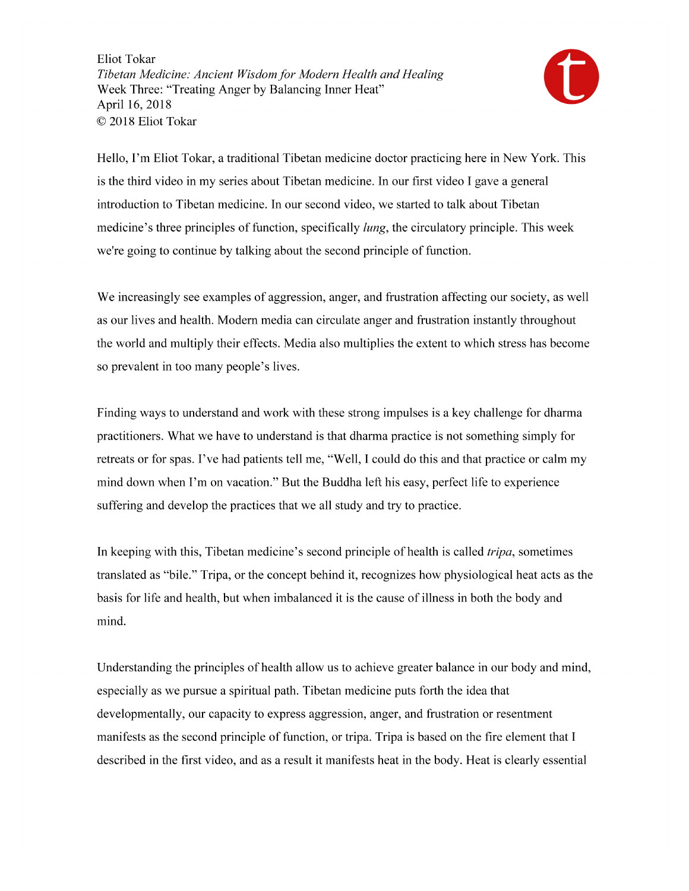

Hello, I'm Eliot Tokar, a traditional Tibetan medicine doctor practicing here in New York. This is the third video in my series about Tibetan medicine. In our first video I gave a general introduction to Tibetan medicine. In our second video, we started to talk about Tibetan medicine's three principles of function, specifically *lung*, the circulatory principle. This week we're going to continue by talking about the second principle of function.

We increasingly see examples of aggression, anger, and frustration affecting our society, as well as our lives and health. Modern media can circulate anger and frustration instantly throughout the world and multiply their effects. Media also multiplies the extent to which stress has become so prevalent in too many people's lives.

Finding ways to understand and work with these strong impulses is a key challenge for dharma practitioners. What we have to understand is that dharma practice is not something simply for retreats or for spas. I've had patients tell me, "Well, I could do this and that practice or calm my mind down when I'm on vacation." But the Buddha left his easy, perfect life to experience suffering and develop the practices that we all study and try to practice.

In keeping with this, Tibetan medicine's second principle of health is called *tripa*, sometimes translated as "bile." Tripa, or the concept behind it, recognizes how physiological heat acts as the basis for life and health, but when imbalanced it is the cause of illness in both the body and mind.

Understanding the principles of health allow us to achieve greater balance in our body and mind, especially as we pursue a spiritual path. Tibetan medicine puts forth the idea that developmentally, our capacity to express aggression, anger, and frustration or resentment manifests as the second principle of function, or tripa. Tripa is based on the fire element that I described in the first video, and as a result it manifests heat in the body. Heat is clearly essential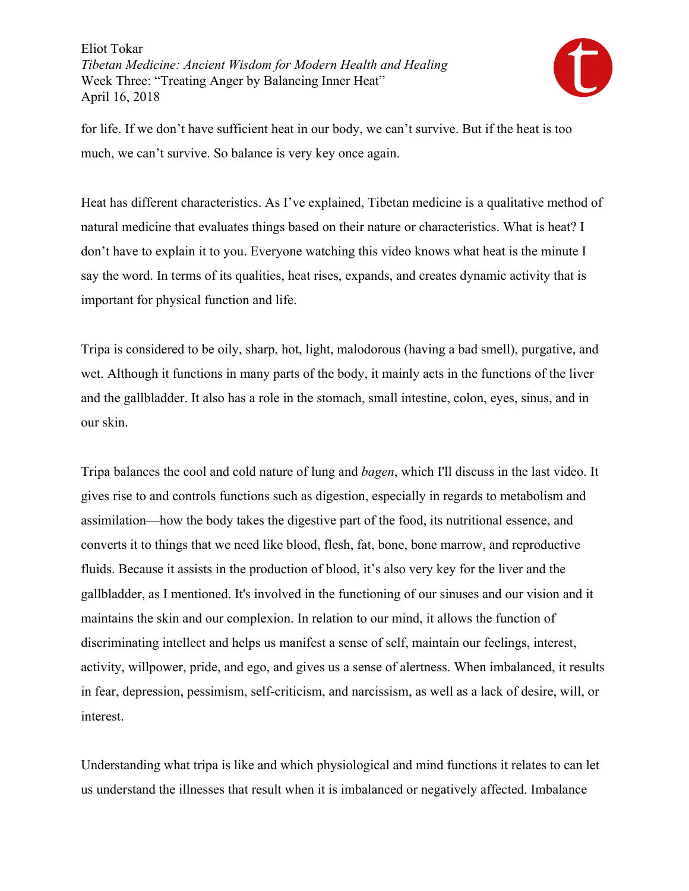

for life. If we don't have sufficient heat in our body, we can't survive. But if the heat is too much, we can't survive. So balance is very key once again.

Heat has different characteristics. As I've explained, Tibetan medicine is a qualitative method of natural medicine that evaluates things based on their nature or characteristics. What is heat? I don't have to explain it to you. Everyone watching this video knows what heat is the minute I say the word. In terms of its qualities, heat rises, expands, and creates dynamic activity that is important for physical function and life.

Tripa is considered to be oily, sharp, hot, light, malodorous (having a bad smell), purgative, and wet. Although it functions in many parts of the body, it mainly acts in the functions of the liver and the gallbladder. It also has a role in the stomach, small intestine, colon, eyes, sinus, and in our skin.

Tripa balances the cool and cold nature of lung and *bagen*, which I'll discuss in the last video. It gives rise to and controls functions such as digestion, especially in regards to metabolism and assimilation—how the body takes the digestive part of the food, its nutritional essence, and converts it to things that we need like blood, flesh, fat, bone, bone marrow, and reproductive fluids. Because it assists in the production of blood, it's also very key for the liver and the gallbladder, as I mentioned. It's involved in the functioning of our sinuses and our vision and it maintains the skin and our complexion. In relation to our mind, it allows the function of discriminating intellect and helps us manifest a sense of self, maintain our feelings, interest, activity, willpower, pride, and ego, and gives us a sense of alertness. When imbalanced, it results in fear, depression, pessimism, self-criticism, and narcissism, as well as a lack of desire, will, or interest.

Understanding what tripa is like and which physiological and mind functions it relates to can let us understand the illnesses that result when it is imbalanced or negatively affected. Imbalance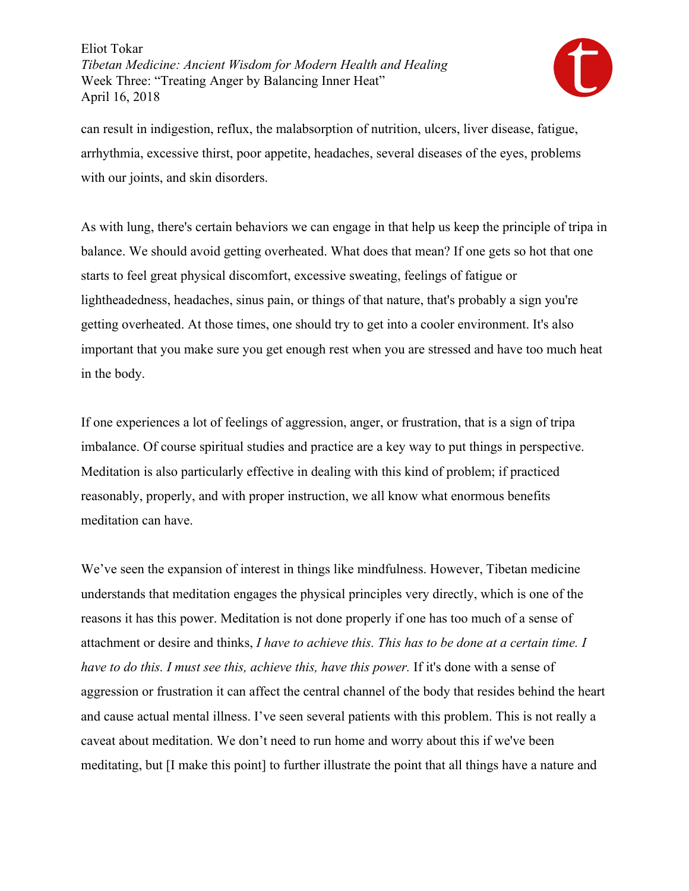

can result in indigestion, reflux, the malabsorption of nutrition, ulcers, liver disease, fatigue, arrhythmia, excessive thirst, poor appetite, headaches, several diseases of the eyes, problems with our joints, and skin disorders.

As with lung, there's certain behaviors we can engage in that help us keep the principle of tripa in balance. We should avoid getting overheated. What does that mean? If one gets so hot that one starts to feel great physical discomfort, excessive sweating, feelings of fatigue or lightheadedness, headaches, sinus pain, or things of that nature, that's probably a sign you're getting overheated. At those times, one should try to get into a cooler environment. It's also important that you make sure you get enough rest when you are stressed and have too much heat in the body.

If one experiences a lot of feelings of aggression, anger, or frustration, that is a sign of tripa imbalance. Of course spiritual studies and practice are a key way to put things in perspective. Meditation is also particularly effective in dealing with this kind of problem; if practiced reasonably, properly, and with proper instruction, we all know what enormous benefits meditation can have.

We've seen the expansion of interest in things like mindfulness. However, Tibetan medicine understands that meditation engages the physical principles very directly, which is one of the reasons it has this power. Meditation is not done properly if one has too much of a sense of attachment or desire and thinks, *I have to achieve this. This has to be done at a certain time. I have to do this. I must see this, achieve this, have this power.* If it's done with a sense of aggression or frustration it can affect the central channel of the body that resides behind the heart and cause actual mental illness. I've seen several patients with this problem. This is not really a caveat about meditation. We don't need to run home and worry about this if we've been meditating, but [I make this point] to further illustrate the point that all things have a nature and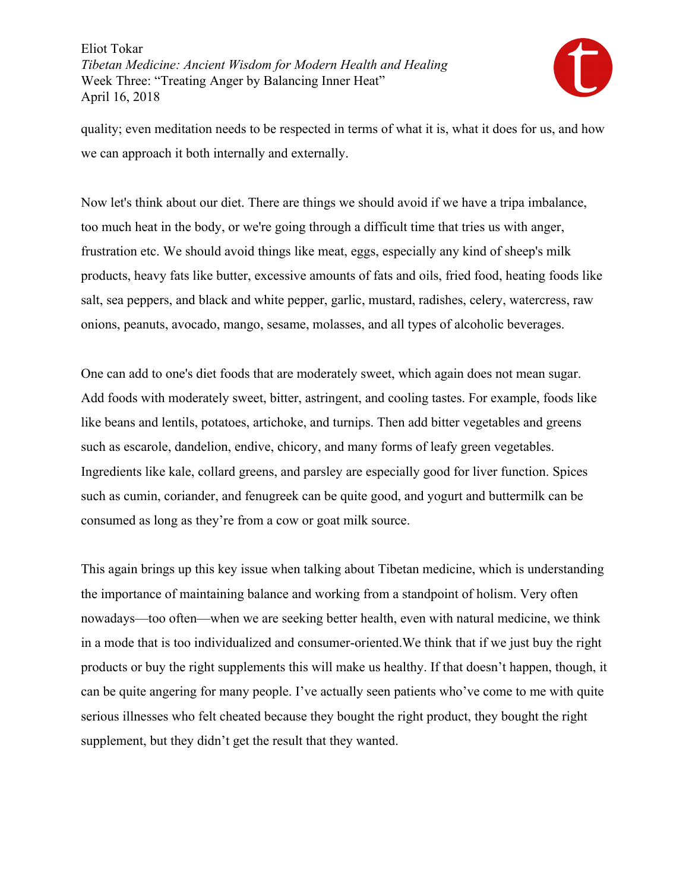

quality; even meditation needs to be respected in terms of what it is, what it does for us, and how we can approach it both internally and externally.

Now let's think about our diet. There are things we should avoid if we have a tripa imbalance, too much heat in the body, or we're going through a difficult time that tries us with anger, frustration etc. We should avoid things like meat, eggs, especially any kind of sheep's milk products, heavy fats like butter, excessive amounts of fats and oils, fried food, heating foods like salt, sea peppers, and black and white pepper, garlic, mustard, radishes, celery, watercress, raw onions, peanuts, avocado, mango, sesame, molasses, and all types of alcoholic beverages.

One can add to one's diet foods that are moderately sweet, which again does not mean sugar. Add foods with moderately sweet, bitter, astringent, and cooling tastes. For example, foods like like beans and lentils, potatoes, artichoke, and turnips. Then add bitter vegetables and greens such as escarole, dandelion, endive, chicory, and many forms of leafy green vegetables. Ingredients like kale, collard greens, and parsley are especially good for liver function. Spices such as cumin, coriander, and fenugreek can be quite good, and yogurt and buttermilk can be consumed as long as they're from a cow or goat milk source.

This again brings up this key issue when talking about Tibetan medicine, which is understanding the importance of maintaining balance and working from a standpoint of holism. Very often nowadays—too often—when we are seeking better health, even with natural medicine, we think in a mode that is too individualized and consumer-oriented.We think that if we just buy the right products or buy the right supplements this will make us healthy. If that doesn't happen, though, it can be quite angering for many people. I've actually seen patients who've come to me with quite serious illnesses who felt cheated because they bought the right product, they bought the right supplement, but they didn't get the result that they wanted.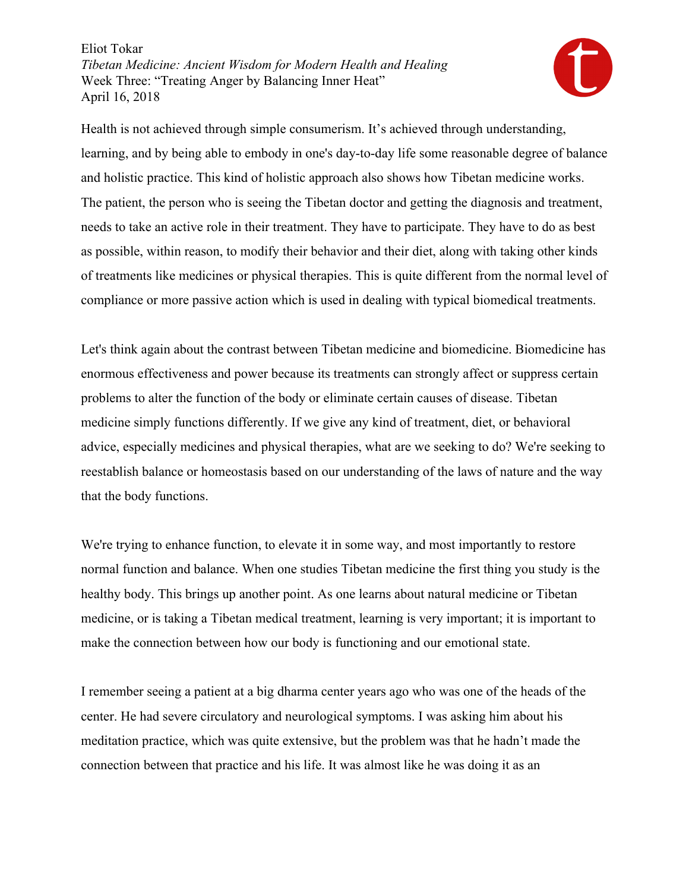

Health is not achieved through simple consumerism. It's achieved through understanding, learning, and by being able to embody in one's day-to-day life some reasonable degree of balance and holistic practice. This kind of holistic approach also shows how Tibetan medicine works. The patient, the person who is seeing the Tibetan doctor and getting the diagnosis and treatment, needs to take an active role in their treatment. They have to participate. They have to do as best as possible, within reason, to modify their behavior and their diet, along with taking other kinds of treatments like medicines or physical therapies. This is quite different from the normal level of compliance or more passive action which is used in dealing with typical biomedical treatments.

Let's think again about the contrast between Tibetan medicine and biomedicine. Biomedicine has enormous effectiveness and power because its treatments can strongly affect or suppress certain problems to alter the function of the body or eliminate certain causes of disease. Tibetan medicine simply functions differently. If we give any kind of treatment, diet, or behavioral advice, especially medicines and physical therapies, what are we seeking to do? We're seeking to reestablish balance or homeostasis based on our understanding of the laws of nature and the way that the body functions.

We're trying to enhance function, to elevate it in some way, and most importantly to restore normal function and balance. When one studies Tibetan medicine the first thing you study is the healthy body. This brings up another point. As one learns about natural medicine or Tibetan medicine, or is taking a Tibetan medical treatment, learning is very important; it is important to make the connection between how our body is functioning and our emotional state.

I remember seeing a patient at a big dharma center years ago who was one of the heads of the center. He had severe circulatory and neurological symptoms. I was asking him about his meditation practice, which was quite extensive, but the problem was that he hadn't made the connection between that practice and his life. It was almost like he was doing it as an